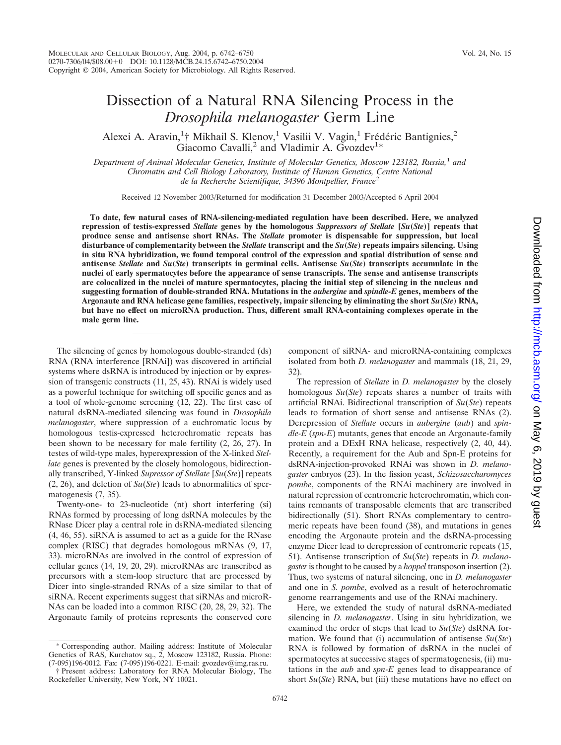# Dissection of a Natural RNA Silencing Process in the *Drosophila melanogaster* Germ Line

Alexei A. Aravin,<sup>1</sup>† Mikhail S. Klenov,<sup>1</sup> Vasilii V. Vagin,<sup>1</sup> Frédéric Bantignies,<sup>2</sup> Giacomo Cavalli,<sup>2</sup> and Vladimir A. Gvozdev<sup>1\*</sup>

*Department of Animal Molecular Genetics, Institute of Molecular Genetics, Moscow 123182, Russia,*<sup>1</sup> *and Chromatin and Cell Biology Laboratory, Institute of Human Genetics, Centre National de la Recherche Scientifique, 34396 Montpellier, France*<sup>2</sup>

Received 12 November 2003/Returned for modification 31 December 2003/Accepted 6 April 2004

**To date, few natural cases of RNA-silencing-mediated regulation have been described. Here, we analyzed repression of testis-expressed** *Stellate* **genes by the homologous** *Suppressors of Stellate* **[***Su***(***Ste***)] repeats that produce sense and antisense short RNAs. The** *Stellate* **promoter is dispensable for suppression, but local disturbance of complementarity between the** *Stellate* **transcript and the** *Su***(***Ste***) repeats impairs silencing. Using in situ RNA hybridization, we found temporal control of the expression and spatial distribution of sense and antisense** *Stellate* **and** *Su***(***Ste***) transcripts in germinal cells. Antisense** *Su***(***Ste***) transcripts accumulate in the nuclei of early spermatocytes before the appearance of sense transcripts. The sense and antisense transcripts are colocalized in the nuclei of mature spermatocytes, placing the initial step of silencing in the nucleus and suggesting formation of double-stranded RNA. Mutations in the** *aubergine* **and** *spindle-E* **genes, members of the Argonaute and RNA helicase gene families, respectively, impair silencing by eliminating the short** *Su***(***Ste***) RNA, but have no effect on microRNA production. Thus, different small RNA-containing complexes operate in the male germ line.**

The silencing of genes by homologous double-stranded (ds) RNA (RNA interference [RNAi]) was discovered in artificial systems where dsRNA is introduced by injection or by expression of transgenic constructs (11, 25, 43). RNAi is widely used as a powerful technique for switching off specific genes and as a tool of whole-genome screening (12, 22). The first case of natural dsRNA-mediated silencing was found in *Drosophila melanogaster*, where suppression of a euchromatic locus by homologous testis-expressed heterochromatic repeats has been shown to be necessary for male fertility (2, 26, 27). In testes of wild-type males, hyperexpression of the X-linked *Stellate* genes is prevented by the closely homologous, bidirectionally transcribed, Y-linked *Supressor of Stellate* [*Su*(*Ste*)] repeats (2, 26), and deletion of *Su*(*Ste*) leads to abnormalities of spermatogenesis (7, 35).

Twenty-one- to 23-nucleotide (nt) short interfering (si) RNAs formed by processing of long dsRNA molecules by the RNase Dicer play a central role in dsRNA-mediated silencing (4, 46, 55). siRNA is assumed to act as a guide for the RNase complex (RISC) that degrades homologous mRNAs (9, 17, 33). microRNAs are involved in the control of expression of cellular genes (14, 19, 20, 29). microRNAs are transcribed as precursors with a stem-loop structure that are processed by Dicer into single-stranded RNAs of a size similar to that of siRNA. Recent experiments suggest that siRNAs and microR-NAs can be loaded into a common RISC (20, 28, 29, 32). The Argonaute family of proteins represents the conserved core

\* Corresponding author. Mailing address: Institute of Molecular Genetics of RAS, Kurchatov sq., 2, Moscow 123182, Russia. Phone: (7-095)196-0012. Fax: (7-095)196-0221. E-mail: gvozdev@img.ras.ru.

component of siRNA- and microRNA-containing complexes isolated from both *D. melanogaster* and mammals (18, 21, 29, 32).

The repression of *Stellate* in *D. melanogaster* by the closely homologous *Su*(*Ste*) repeats shares a number of traits with artificial RNAi. Bidirectional transcription of *Su*(*Ste*) repeats leads to formation of short sense and antisense RNAs (2). Derepression of *Stellate* occurs in *aubergine* (*aub*) and *spindle-E* (*spn-E*) mutants, genes that encode an Argonaute-family protein and a DExH RNA helicase, respectively (2, 40, 44). Recently, a requirement for the Aub and Spn-E proteins for dsRNA-injection-provoked RNAi was shown in *D. melanogaster* embryos (23). In the fission yeast, *Schizosaccharomyces pombe*, components of the RNAi machinery are involved in natural repression of centromeric heterochromatin, which contains remnants of transposable elements that are transcribed bidirectionally (51). Short RNAs complementary to centromeric repeats have been found (38), and mutations in genes encoding the Argonaute protein and the dsRNA-processing enzyme Dicer lead to derepression of centromeric repeats (15, 51). Antisense transcription of *Su*(*Ste*) repeats in *D. melanogaster* is thought to be caused by a *hoppel* transposon insertion (2). Thus, two systems of natural silencing, one in *D. melanogaster* and one in *S. pombe*, evolved as a result of heterochromatic genome rearrangements and use of the RNAi machinery.

Here, we extended the study of natural dsRNA-mediated silencing in *D. melanogaster*. Using in situ hybridization, we examined the order of steps that lead to *Su*(*Ste*) dsRNA formation. We found that (i) accumulation of antisense *Su*(*Ste*) RNA is followed by formation of dsRNA in the nuclei of spermatocytes at successive stages of spermatogenesis, (ii) mutations in the *aub* and *spn-E* genes lead to disappearance of short *Su*(*Ste*) RNA, but (iii) these mutations have no effect on

<sup>†</sup> Present address: Laboratory for RNA Molecular Biology, The Rockefeller University, New York, NY 10021.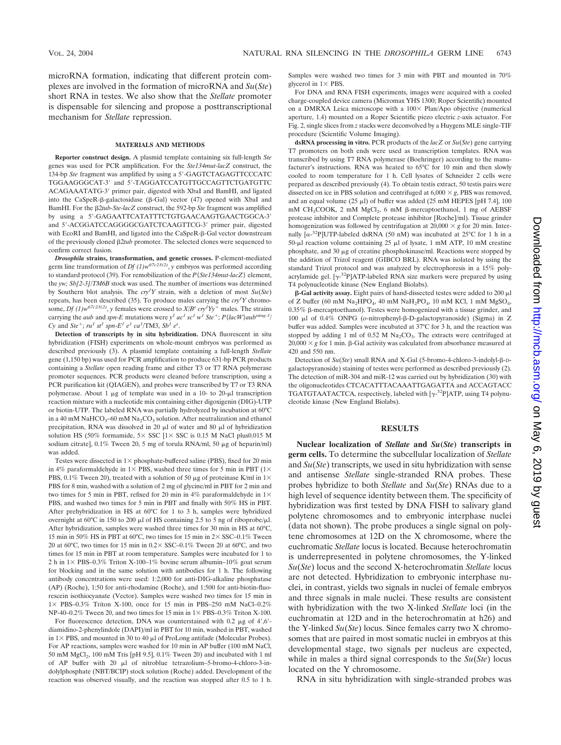microRNA formation, indicating that different protein complexes are involved in the formation of microRNA and *Su*(*Ste*) short RNA in testes. We also show that the *Stellate* promoter is dispensable for silencing and propose a posttranscriptional mechanism for *Stellate* repression.

## **MATERIALS AND METHODS**

**Reporter construct design.** A plasmid template containing six full-length *Ste* genes was used for PCR amplification. For the *Ste134mut-lacZ* construct, the 134-bp Ste fragment was amplified by using a 5'-GAGTCTAGAGTTCCCATC TGGAAGGGCAT-3' and 5'-TAGGATCCATGTTGCCAGTTCTGATGTTC ACAGAAATATG-3' primer pair, digested with XbaI and BamHI, and ligated into the CaSpeR- $\beta$ -galactosidase ( $\beta$ -Gal) vector (47) opened with XbaI and BamHI. For the 2*tub-Ste-lacZ* construct, the 592-bp *Ste* fragment was amplified by using a 5'-GAGAATTCATATTTCTGTGAACAAGTGAACTGGCA-3' and 5'-ACGGATCCAGGGGCGATCTCAAGTTCG-3' primer pair, digested with EcoRI and BamHI, and ligated into the CaSpeR-ß-Gal vector downstream of the previously cloned 2*tub* promoter. The selected clones were sequenced to confirm correct fusion.

*Drosophila* **strains, transformation, and genetic crosses.** P-element-mediated germ line transformation of *Df*  $(I)w^{67c23(2)}$ , *y* embryos was performed according to standard protocol (39). For remobilization of the *P*{*Ste134mut-lacZ*} element, the *yw; Sb[2*-*3]/TM6B* stock was used. The number of insertions was determined by Southern blot analysis. The *cry<sup>1</sup> Y* strain, with a deletion of most *Su*(*Ste*) repeats, has been described (35). To produce males carrying the *cry<sup>1</sup> Y* chromosome, *Df* (1) $w^{67c23(2)}$ , *y* females were crossed to  $X/B^s$  *cry*<sup>1</sup> $Yy^+$  males. The strains carrying the *aub* and *spn-E* mutations were  $y<sup>1</sup>$  *ac*<sup>1</sup> *sc*<sup>1</sup> *w*<sup>1</sup> *Ste*<sup>+</sup>; *P*{*lacW*}*aub*<sup>*sting-1/*</sup>  $Cy$  and  $Ste^+$ ;  $ru^1$   $st^1$   $spn-E^1$   $e^1$   $ca^1$ /TM3,  $Sb^1$   $e^s$ .

**Detection of transcripts by in situ hybridization.** DNA fluorescent in situ hybridization (FISH) experiments on whole-mount embryos was performed as described previously (3). A plasmid template containing a full-length *Stellate* gene (1,150 bp) was used for PCR amplification to produce 631-bp PCR products containing a *Stellate* open reading frame and either T3 or T7 RNA polymerase promoter sequences. PCR products were cleaned before transcription, using a PCR purification kit (QIAGEN), and probes were transcribed by T7 or T3 RNA polymerase. About 1  $\mu$ g of template was used in a 10- to 20- $\mu$ l transcription reaction mixture with a nucleotide mix containing either digoxigenin (DIG)-UTP or biotin-UTP. The labeled RNA was partially hydrolyzed by incubation at 60°C in a 40 mM NaHCO<sub>3</sub>–60 mM Na<sub>2</sub>CO<sub>3</sub> solution. After neutralization and ethanol precipitation, RNA was dissolved in 20  $\mu$ l of water and 80  $\mu$ l of hybridization solution HS (50% formamide,  $5 \times$  SSC [1 $\times$  SSC is 0.15 M NaCl plus0.015 M sodium citrate],  $0.1\%$  Tween 20, 5 mg of torula RNA/ml, 50  $\mu$ g of heparin/ml) was added.

Testes were dissected in  $1\times$  phosphate-buffered saline (PBS), fixed for 20 min in 4% paraformaldehyde in 1 $\times$  PBS, washed three times for 5 min in PBT (1 $\times$ PBS, 0.1% Tween 20), treated with a solution of 50  $\mu$ g of proteinase K/ml in 1× PBS for 8 min, washed with a solution of 2 mg of glycine/ml in PBT for 2 min and two times for 5 min in PBT, refixed for 20 min in  $4\%$  paraformaldehyde in  $1\times$ PBS, and washed two times for 5 min in PBT and finally with 50% HS in PBT. After prehybridization in HS at 60°C for 1 to 3 h, samples were hybridized overnight at 60°C in 150 to 200  $\mu$ l of HS containing 2.5 to 5 ng of riboprobe/ $\mu$ l. After hybridization, samples were washed three times for 30 min in HS at 60°C, 15 min in 50% HS in PBT at 60°C, two times for 15 min in  $2 \times$  SSC–0.1% Tween 20 at 60 $^{\circ}$ C, two times for 15 min in 0.2× SSC–0.1% Tween 20 at 60 $^{\circ}$ C, and two times for 15 min in PBT at room temperature. Samples were incubated for 1 to 2 h in  $1 \times$  PBS–0.3% Triton X-100–1% bovine serum albumin–10% goat serum for blocking and in the same solution with antibodies for 1 h. The following antibody concentrations were used: 1:2,000 for anti-DIG-alkaline phosphatase (AP) (Roche), 1:50 for anti-rhodamine (Roche), and 1:500 for anti-biotin-fluorescein isothiocyanate (Vector). Samples were washed two times for 15 min in  $1 \times$  PBS–0.3% Triton X-100, once for 15 min in PBS–250 mM NaCl–0.2% NP-40–0.2% Tween 20, and two times for 15 min in  $1 \times$  PBS–0.3% Triton X-100.

For fluorescence detection, DNA was counterstained with  $0.2 \mu g$  of  $4'$ ,  $6'$ diamidino-2-phenylindole (DAPI)/ml in PBT for 10 min, washed in PBT, washed in  $1 \times$  PBS, and mounted in 30 to 40  $\mu$ l of ProLong antifade (Molecular Probes). For AP reactions, samples were washed for 10 min in AP buffer (100 mM NaCl, 50 mM MgCl2, 100 mM Tris [pH 9.5], 0.1% Tween 20) and incubated with 1 ml of AP buffer with 20  $\mu$ l of nitroblue tetrazolium–5-bromo-4-chloro-3-indolylphosphate (NBT/BCIP) stock solution (Roche) added. Development of the reaction was observed visually, and the reaction was stopped after 0.5 to 1 h.

Samples were washed two times for 3 min with PBT and mounted in 70% glycerol in  $1 \times$  PBS.

For DNA and RNA FISH experiments, images were acquired with a cooled charge-coupled device camera (Micromax YHS 1300; Roper Scientific) mounted on a DMRXA Leica microscope with a  $100 \times$  Plan/Apo objective (numerical aperture, 1.4) mounted on a Roper Scientific piezo electric *z*-axis actuator. For Fig. 2, single slices from *z* stacks were deconvolved by a Huygens MLE single-TIF procedure (Scientific Volume Imaging).

**dsRNA processing in vitro.** PCR products of the *lacZ* or *Su*(*Ste*) gene carrying T7 promoters on both ends were used as transcription templates. RNA was transcribed by using T7 RNA polymerase (Boehringer) according to the manufacturer's instructions. RNA was heated to 65°C for 10 min and then slowly cooled to room temperature for 1 h. Cell lysates of Schneider 2 cells were prepared as described previously (4). To obtain testis extract, 50 testis pairs were dissected on ice in PBS solution and centrifuged at  $6,000 \times g$ , PBS was removed, and an equal volume (25  $\mu$ l) of buffer was added (25 mM HEPES [pH 7.4], 100 mM CH<sub>3</sub>COOK, 2 mM MgCl<sub>2</sub>, 6 mM β-mercaptoethanol, 1 mg of AEBSF protease inhibitor and Complete protease inhibitor [Roche]/ml). Tissue grinder homogenization was followed by centrifugation at  $20,000 \times g$  for 20 min. Internally  $\left[\alpha^{-32}P\right] UTP$ -labeled dsRNA (50 nM) was incubated at 25°C for 1 h in a 50-µl reaction volume containing 25 µl of lysate, 1 mM ATP, 10 mM creatine phosphate, and 30  $\mu$ g of creatine phosphokinase/ml. Reactions were stopped by the addition of Trizol reagent (GIBCO BRL). RNA was isolated by using the standard Trizol protocol and was analyzed by electrophoresis in a 15% polyacrylamide gel.  $[\gamma^{-32}P]ATP$ -labeled RNA size markers were prepared by using T4 polynucleotide kinase (New England Biolabs).

 $\beta$ -Gal activity assay. Eight pairs of hand-dissected testes were added to 200  $\mu$ l of Z buffer (60 mM Na<sub>2</sub>HPO<sub>4</sub>, 40 mM NaH<sub>2</sub>PO<sub>4</sub>, 10 mM KCl, 1 mM MgSO<sub>4</sub>,  $0.35\%$   $\beta$ -mercaptoethanol). Testes were homogenized with a tissue grinder, and 100 μl of 0.4% ONPG (*o*-nitrophenyl-β-D-galactopyranoside) (Sigma) in Z buffer was added. Samples were incubated at 37°C for 3 h, and the reaction was stopped by adding 1 ml of 0.52 M  $\text{Na}_2\text{CO}_3$ . The extracts were centrifuged at  $20,000 \times g$  for 1 min.  $\beta$ -Gal activity was calculated from absorbance measured at 420 and 550 nm.

Detection of  $Su(Ste)$  small RNA and X-Gal (5-bromo-4-chloro-3-indolyl-ß-Dgalactopyranoside) staining of testes were performed as described previously (2). The detection of miR-304 and miR-12 was carried out by hybridization (30) with the oligonucleotides CTCACATTTACAAATTGAGATTA and ACCAGTACC TGATGTAATACTCA, respectively, labeled with  $[\gamma^{-32}P]$ ATP, using T4 polynucleotide kinase (New England Biolabs).

## **RESULTS**

**Nuclear localization of** *Stellate* **and** *Su***(***Ste***) transcripts in germ cells.** To determine the subcellular localization of *Stellate* and *Su*(*Ste*) transcripts, we used in situ hybridization with sense and antisense *Stellate* single-stranded RNA probes. These probes hybridize to both *Stellate* and *Su*(*Ste*) RNAs due to a high level of sequence identity between them. The specificity of hybridization was first tested by DNA FISH to salivary gland polytene chromosomes and to embryonic interphase nuclei (data not shown). The probe produces a single signal on polytene chromosomes at 12D on the X chromosome, where the euchromatic *Stellate* locus is located. Because heterochromatin is underrepresented in polytene chromosomes, the Y-linked *Su*(*Ste*) locus and the second X*-*heterochromatin *Stellate* locus are not detected. Hybridization to embryonic interphase nuclei, in contrast, yields two signals in nuclei of female embryos and three signals in male nuclei. These results are consistent with hybridization with the two X-linked *Stellate* loci (in the euchromatin at 12D and in the heterochromatin at h26) and the Y-linked *Su*(*Ste*) locus. Since females carry two X chromosomes that are paired in most somatic nuclei in embryos at this developmental stage, two signals per nucleus are expected, while in males a third signal corresponds to the *Su*(*Ste*) locus located on the Y chromosome.

RNA in situ hybridization with single-stranded probes was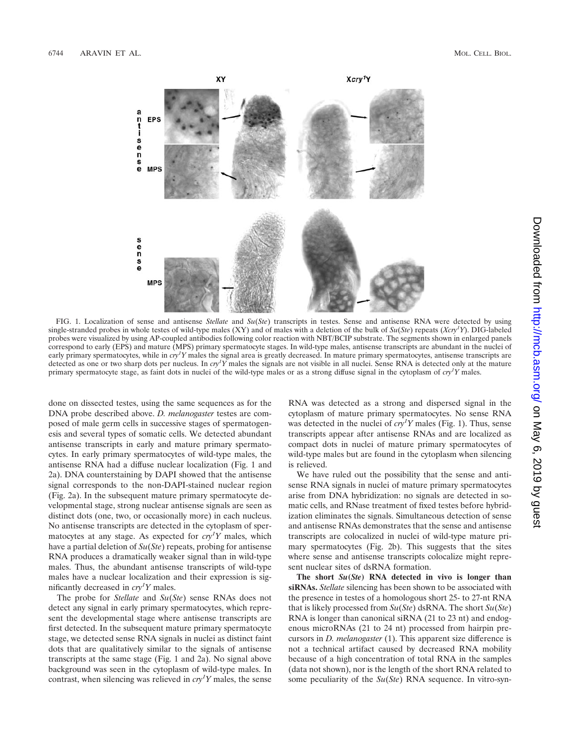

FIG. 1. Localization of sense and antisense *Stellate* and *Su*(*Ste*) transcripts in testes. Sense and antisense RNA were detected by using single-stranded probes in whole testes of wild-type males (XY) and of males with a deletion of the bulk of *Su*(*Ste*) repeats (*Xcry1 Y*). DIG-labeled probes were visualized by using AP-coupled antibodies following color reaction with NBT/BCIP substrate. The segments shown in enlarged panels correspond to early (EPS) and mature (MPS) primary spermatocyte stages. In wild-type males, antisense transcripts are abundant in the nuclei of early primary spermatocytes, while in *cry<sup>1</sup>Y* males the signal area is greatly decreased. In mature primary spermatocytes, antisense transcripts are detected as one or two sharp dots per nucleus. In *cry<sup>1</sup> Y* males the signals are not visible in all nuclei. Sense RNA is detected only at the mature primary spermatocyte stage, as faint dots in nuclei of the wild-type males or as a strong diffuse signal in the cytoplasm of *cry1 Y* males.

done on dissected testes, using the same sequences as for the DNA probe described above. *D. melanogaster* testes are composed of male germ cells in successive stages of spermatogenesis and several types of somatic cells. We detected abundant antisense transcripts in early and mature primary spermatocytes. In early primary spermatocytes of wild-type males, the antisense RNA had a diffuse nuclear localization (Fig. 1 and 2a). DNA counterstaining by DAPI showed that the antisense signal corresponds to the non-DAPI-stained nuclear region (Fig. 2a). In the subsequent mature primary spermatocyte developmental stage, strong nuclear antisense signals are seen as distinct dots (one, two, or occasionally more) in each nucleus. No antisense transcripts are detected in the cytoplasm of spermatocytes at any stage. As expected for  $cry<sup>1</sup>Y$  males, which have a partial deletion of *Su*(*Ste*) repeats, probing for antisense RNA produces a dramatically weaker signal than in wild-type males. Thus, the abundant antisense transcripts of wild-type males have a nuclear localization and their expression is significantly decreased in *cry1 Y* males.

The probe for *Stellate* and *Su*(*Ste*) sense RNAs does not detect any signal in early primary spermatocytes, which represent the developmental stage where antisense transcripts are first detected. In the subsequent mature primary spermatocyte stage, we detected sense RNA signals in nuclei as distinct faint dots that are qualitatively similar to the signals of antisense transcripts at the same stage (Fig. 1 and 2a). No signal above background was seen in the cytoplasm of wild-type males. In contrast, when silencing was relieved in *cry1 Y* males, the sense

RNA was detected as a strong and dispersed signal in the cytoplasm of mature primary spermatocytes. No sense RNA was detected in the nuclei of  $cry<sup>I</sup>Y$  males (Fig. 1). Thus, sense transcripts appear after antisense RNAs and are localized as compact dots in nuclei of mature primary spermatocytes of wild-type males but are found in the cytoplasm when silencing is relieved.

We have ruled out the possibility that the sense and antisense RNA signals in nuclei of mature primary spermatocytes arise from DNA hybridization: no signals are detected in somatic cells, and RNase treatment of fixed testes before hybridization eliminates the signals. Simultaneous detection of sense and antisense RNAs demonstrates that the sense and antisense transcripts are colocalized in nuclei of wild-type mature primary spermatocytes (Fig. 2b). This suggests that the sites where sense and antisense transcripts colocalize might represent nuclear sites of dsRNA formation.

**The short** *Su***(***Ste***) RNA detected in vivo is longer than siRNAs.** *Stellate* silencing has been shown to be associated with the presence in testes of a homologous short 25- to 27-nt RNA that is likely processed from *Su*(*Ste*) dsRNA. The short *Su*(*Ste*) RNA is longer than canonical siRNA (21 to 23 nt) and endogenous microRNAs (21 to 24 nt) processed from hairpin precursors in *D. melanogaster* (1). This apparent size difference is not a technical artifact caused by decreased RNA mobility because of a high concentration of total RNA in the samples (data not shown), nor is the length of the short RNA related to some peculiarity of the *Su*(*Ste*) RNA sequence. In vitro-syn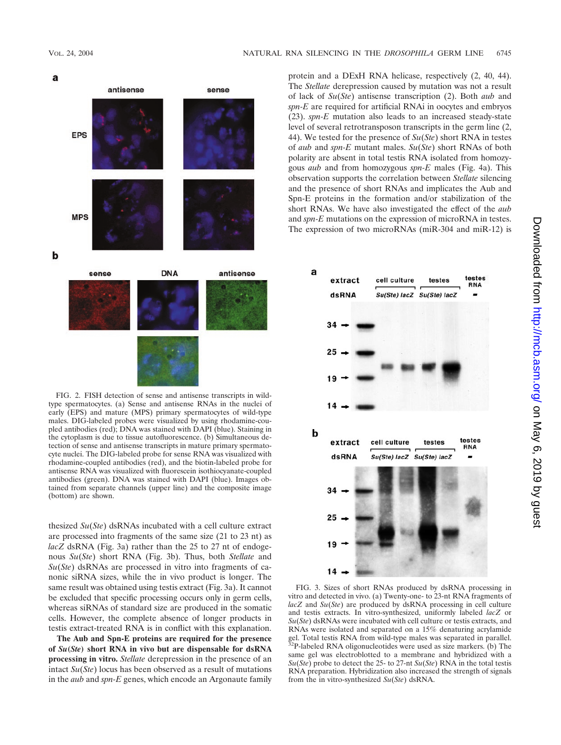a



FIG. 2. FISH detection of sense and antisense transcripts in wildtype spermatocytes. (a) Sense and antisense RNAs in the nuclei of early (EPS) and mature (MPS) primary spermatocytes of wild-type males. DIG-labeled probes were visualized by using rhodamine-coupled antibodies (red); DNA was stained with DAPI (blue). Staining in the cytoplasm is due to tissue autofluorescence. (b) Simultaneous detection of sense and antisense transcripts in mature primary spermatocyte nuclei. The DIG-labeled probe for sense RNA was visualized with rhodamine-coupled antibodies (red), and the biotin-labeled probe for antisense RNA was visualized with fluorescein isothiocyanate-coupled antibodies (green). DNA was stained with DAPI (blue). Images obtained from separate channels (upper line) and the composite image (bottom) are shown.

thesized *Su*(*Ste*) dsRNAs incubated with a cell culture extract are processed into fragments of the same size (21 to 23 nt) as *lacZ* dsRNA (Fig. 3a) rather than the 25 to 27 nt of endogenous *Su*(*Ste*) short RNA (Fig. 3b). Thus, both *Stellate* and *Su*(*Ste*) dsRNAs are processed in vitro into fragments of canonic siRNA sizes, while the in vivo product is longer. The same result was obtained using testis extract (Fig. 3a). It cannot be excluded that specific processing occurs only in germ cells, whereas siRNAs of standard size are produced in the somatic cells. However, the complete absence of longer products in testis extract-treated RNA is in conflict with this explanation.

**The Aub and Spn-E proteins are required for the presence of** *Su***(***Ste***) short RNA in vivo but are dispensable for dsRNA processing in vitro.** *Stellate* derepression in the presence of an intact *Su*(*Ste*) locus has been observed as a result of mutations in the *aub* and *spn-E* genes, which encode an Argonaute family protein and a DExH RNA helicase, respectively (2, 40, 44). The *Stellate* derepression caused by mutation was not a result of lack of *Su*(*Ste*) antisense transcription (2). Both *aub* and *spn-E* are required for artificial RNAi in oocytes and embryos (23). *spn-E* mutation also leads to an increased steady-state level of several retrotransposon transcripts in the germ line (2, 44). We tested for the presence of *Su*(*Ste*) short RNA in testes of *aub* and *spn-E* mutant males. *Su*(*Ste*) short RNAs of both polarity are absent in total testis RNA isolated from homozygous *aub* and from homozygous *spn-E* males (Fig. 4a). This observation supports the correlation between *Stellate* silencing and the presence of short RNAs and implicates the Aub and Spn-E proteins in the formation and/or stabilization of the short RNAs. We have also investigated the effect of the *aub* and *spn-E* mutations on the expression of microRNA in testes. The expression of two microRNAs (miR-304 and miR-12) is



FIG. 3. Sizes of short RNAs produced by dsRNA processing in vitro and detected in vivo. (a) Twenty-one- to 23-nt RNA fragments of *lacZ* and *Su*(*Ste*) are produced by dsRNA processing in cell culture and testis extracts. In vitro-synthesized, uniformly labeled *lacZ* or *Su*(*Ste*) dsRNAs were incubated with cell culture or testis extracts, and RNAs were isolated and separated on a 15% denaturing acrylamide gel. Total testis RNA from wild-type males was separated in parallel. 32P-labeled RNA oligonucleotides were used as size markers. (b) The same gel was electroblotted to a membrane and hybridized with a *Su*(*Ste*) probe to detect the 25- to 27-nt *Su*(*Ste*) RNA in the total testis RNA preparation. Hybridization also increased the strength of signals from the in vitro-synthesized *Su*(*Ste*) dsRNA.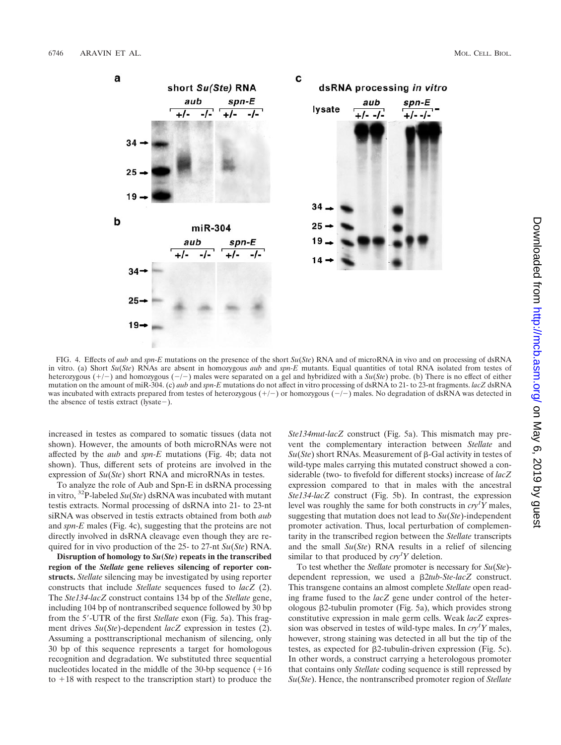

FIG. 4. Effects of *aub* and *spn-E* mutations on the presence of the short *Su*(*Ste*) RNA and of microRNA in vivo and on processing of dsRNA in vitro. (a) Short *Su*(*Ste*) RNAs are absent in homozygous *aub* and *spn-E* mutants. Equal quantities of total RNA isolated from testes of heterozygous (+/-) and homozygous (-/-) males were separated on a gel and hybridized with a *Su*(*Ste*) probe. (b) There is no effect of either mutation on the amount of miR-304. (c) *aub* and *spn-E* mutations do not affect in vitro processing of dsRNA to 21- to 23-nt fragments. *lacZ* dsRNA was incubated with extracts prepared from testes of heterozygous  $(+/-)$  or homozygous  $(-/-)$  males. No degradation of dsRNA was detected in the absence of testis extract (lysate  $-$ ).

increased in testes as compared to somatic tissues (data not shown). However, the amounts of both microRNAs were not affected by the *aub* and *spn-E* mutations (Fig. 4b; data not shown). Thus, different sets of proteins are involved in the expression of *Su*(*Ste*) short RNA and microRNAs in testes.

To analyze the role of Aub and Spn-E in dsRNA processing in vitro, 32P-labeled *Su*(*Ste*) dsRNA was incubated with mutant testis extracts. Normal processing of dsRNA into 21- to 23-nt siRNA was observed in testis extracts obtained from both *aub* and *spn-E* males (Fig. 4c), suggesting that the proteins are not directly involved in dsRNA cleavage even though they are required for in vivo production of the 25- to 27-nt *Su*(*Ste*) RNA.

**Disruption of homology to** *Su***(***Ste***) repeats in the transcribed region of the** *Stellate* **gene relieves silencing of reporter constructs.** *Stellate* silencing may be investigated by using reporter constructs that include *Stellate* sequences fused to *lacZ* (2). The *Ste134-lacZ* construct contains 134 bp of the *Stellate* gene, including 104 bp of nontranscribed sequence followed by 30 bp from the 5'-UTR of the first *Stellate* exon (Fig. 5a). This fragment drives *Su*(*Ste*)-dependent *lacZ* expression in testes (2). Assuming a posttranscriptional mechanism of silencing, only 30 bp of this sequence represents a target for homologous recognition and degradation. We substituted three sequential nucleotides located in the middle of the 30-bp sequence  $(+16$ to  $+18$  with respect to the transcription start) to produce the

*Ste134mut-lacZ* construct (Fig. 5a). This mismatch may prevent the complementary interaction between *Stellate* and  $Su(Ste)$  short RNAs. Measurement of  $\beta$ -Gal activity in testes of wild-type males carrying this mutated construct showed a considerable (two- to fivefold for different stocks) increase of *lacZ* expression compared to that in males with the ancestral *Ste134-lacZ* construct (Fig. 5b). In contrast, the expression level was roughly the same for both constructs in  $cry<sup>T</sup>Y$  males, suggesting that mutation does not lead to *Su*(*Ste*)-independent promoter activation. Thus, local perturbation of complementarity in the transcribed region between the *Stellate* transcripts and the small *Su*(*Ste*) RNA results in a relief of silencing similar to that produced by  $\frac{cry^T Y}{P}$  deletion.

To test whether the *Stellate* promoter is necessary for *Su*(*Ste*) dependent repression, we used a 2*tub-Ste-lacZ* construct. This transgene contains an almost complete *Stellate* open reading frame fused to the *lacZ* gene under control of the heterologous 2-tubulin promoter (Fig. 5a), which provides strong constitutive expression in male germ cells. Weak *lacZ* expression was observed in testes of wild-type males. In *cry1 Y* males, however, strong staining was detected in all but the tip of the testes, as expected for  $\beta$ 2-tubulin-driven expression (Fig. 5c). In other words, a construct carrying a heterologous promoter that contains only *Stellate* coding sequence is still repressed by *Su*(*Ste*). Hence, the nontranscribed promoter region of *Stellate*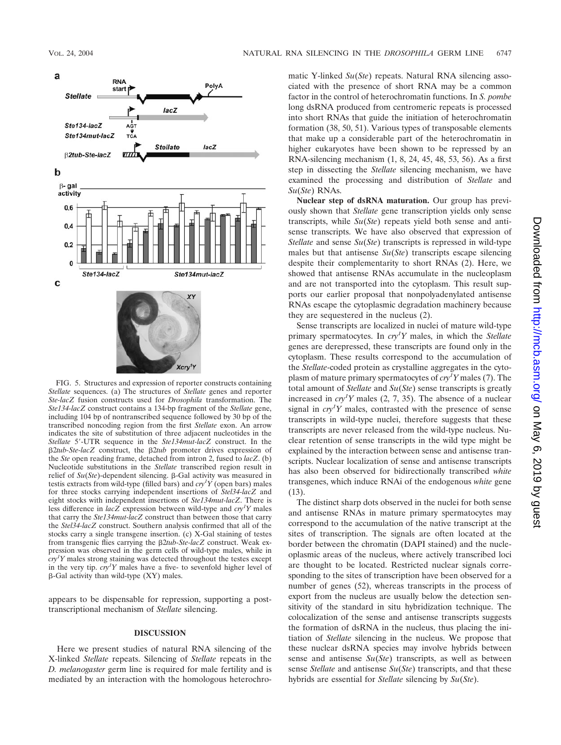

FIG. 5. Structures and expression of reporter constructs containing *Stellate* sequences. (a) The structures of *Stellate* genes and reporter *Ste-lacZ* fusion constructs used for *Drosophila* transformation. The *Ste134-lacZ* construct contains a 134-bp fragment of the *Stellate* gene, including 104 bp of nontranscribed sequence followed by 30 bp of the transcribed noncoding region from the first *Stellate* exon. An arrow indicates the site of substitution of three adjacent nucleotides in the Stellate 5'-UTR sequence in the Ste134mut-lacZ construct. In the 2*tub-Ste-lacZ* construct, the 2*tub* promoter drives expression of the *Ste* open reading frame, detached from intron 2, fused to *lacZ*. (b) Nucleotide substitutions in the *Stellate* transcribed region result in relief of  $Su(Ste)$ -dependent silencing.  $\beta$ -Gal activity was measured in testis extracts from wild-type (filled bars) and *cry1 Y* (open bars) males for three stocks carrying independent insertions of *Stel34-lacZ* and eight stocks with independent insertions of *Ste134mut-lacZ*. There is less difference in *lacZ* expression between wild-type and *cry<sup>1</sup> Y* males that carry the *Ste134mut-lacZ* construct than between those that carry the *Stel34-lacZ* construct. Southern analysis confirmed that all of the stocks carry a single transgene insertion. (c) X-Gal staining of testes from transgenic flies carrying the 2*tub-Ste-lacZ* construct. Weak expression was observed in the germ cells of wild-type males, while in *cry1 Y* males strong staining was detected throughout the testes except in the very tip.  $cry<sup>t</sup>Y$  males have a five- to sevenfold higher level of  $\beta$ -Gal activity than wild-type (XY) males.

appears to be dispensable for repression, supporting a posttranscriptional mechanism of *Stellate* silencing.

## **DISCUSSION**

Here we present studies of natural RNA silencing of the X-linked *Stellate* repeats. Silencing of *Stellate* repeats in the *D. melanogaster* germ line is required for male fertility and is mediated by an interaction with the homologous heterochromatic Y-linked *Su*(*Ste*) repeats. Natural RNA silencing associated with the presence of short RNA may be a common factor in the control of heterochromatin functions. In *S. pombe* long dsRNA produced from centromeric repeats is processed into short RNAs that guide the initiation of heterochromatin formation (38, 50, 51). Various types of transposable elements that make up a considerable part of the heterochromatin in higher eukaryotes have been shown to be repressed by an RNA-silencing mechanism (1, 8, 24, 45, 48, 53, 56). As a first step in dissecting the *Stellate* silencing mechanism, we have examined the processing and distribution of *Stellate* and *Su*(*Ste*) RNAs.

**Nuclear step of dsRNA maturation.** Our group has previously shown that *Stellate* gene transcription yields only sense transcripts, while *Su*(*Ste*) repeats yield both sense and antisense transcripts. We have also observed that expression of *Stellate* and sense *Su*(*Ste*) transcripts is repressed in wild-type males but that antisense *Su*(*Ste*) transcripts escape silencing despite their complementarity to short RNAs (2). Here, we showed that antisense RNAs accumulate in the nucleoplasm and are not transported into the cytoplasm. This result supports our earlier proposal that nonpolyadenylated antisense RNAs escape the cytoplasmic degradation machinery because they are sequestered in the nucleus (2).

Sense transcripts are localized in nuclei of mature wild-type primary spermatocytes. In *cry1 Y* males, in which the *Stellate* genes are derepressed, these transcripts are found only in the cytoplasm. These results correspond to the accumulation of the *Stellate*-coded protein as crystalline aggregates in the cytoplasm of mature primary spermatocytes of *cry<sup>1</sup> Y* males (7). The total amount of *Stellate* and *Su*(*Ste*) sense transcripts is greatly increased in  $\frac{cxy}{Y}$  males (2, 7, 35). The absence of a nuclear signal in  $\frac{cxy}{Y}$  males, contrasted with the presence of sense transcripts in wild-type nuclei, therefore suggests that these transcripts are never released from the wild-type nucleus. Nuclear retention of sense transcripts in the wild type might be explained by the interaction between sense and antisense transcripts. Nuclear localization of sense and antisense transcripts has also been observed for bidirectionally transcribed *white* transgenes, which induce RNAi of the endogenous *white* gene (13).

The distinct sharp dots observed in the nuclei for both sense and antisense RNAs in mature primary spermatocytes may correspond to the accumulation of the native transcript at the sites of transcription. The signals are often located at the border between the chromatin (DAPI stained) and the nucleoplasmic areas of the nucleus, where actively transcribed loci are thought to be located. Restricted nuclear signals corresponding to the sites of transcription have been observed for a number of genes (52), whereas transcripts in the process of export from the nucleus are usually below the detection sensitivity of the standard in situ hybridization technique. The colocalization of the sense and antisense transcripts suggests the formation of dsRNA in the nucleus, thus placing the initiation of *Stellate* silencing in the nucleus. We propose that these nuclear dsRNA species may involve hybrids between sense and antisense *Su*(*Ste*) transcripts, as well as between sense *Stellate* and antisense *Su*(*Ste*) transcripts, and that these hybrids are essential for *Stellate* silencing by *Su*(*Ste*).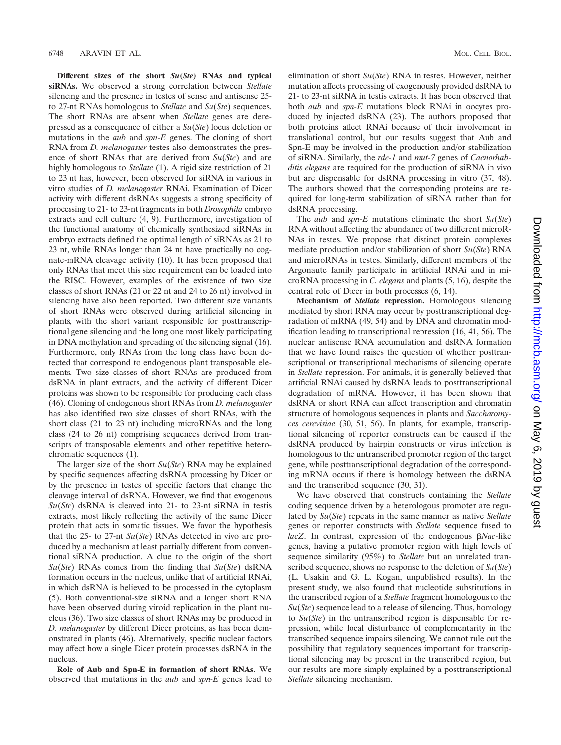**Different sizes of the short** *Su***(***Ste***) RNAs and typical siRNAs.** We observed a strong correlation between *Stellate* silencing and the presence in testes of sense and antisense 25 to 27-nt RNAs homologous to *Stellate* and *Su*(*Ste*) sequences. The short RNAs are absent when *Stellate* genes are derepressed as a consequence of either a *Su*(*Ste*) locus deletion or mutations in the *aub* and *spn-E* genes. The cloning of short RNA from *D. melanogaster* testes also demonstrates the presence of short RNAs that are derived from *Su*(*Ste*) and are highly homologous to *Stellate* (1). A rigid size restriction of 21 to 23 nt has, however, been observed for siRNA in various in vitro studies of *D. melanogaster* RNAi. Examination of Dicer activity with different dsRNAs suggests a strong specificity of processing to 21- to 23-nt fragments in both *Drosophila* embryo extracts and cell culture (4, 9). Furthermore, investigation of the functional anatomy of chemically synthesized siRNAs in embryo extracts defined the optimal length of siRNAs as 21 to 23 nt, while RNAs longer than 24 nt have practically no cognate-mRNA cleavage activity (10). It has been proposed that only RNAs that meet this size requirement can be loaded into the RISC. However, examples of the existence of two size classes of short RNAs (21 or 22 nt and 24 to 26 nt) involved in silencing have also been reported. Two different size variants of short RNAs were observed during artificial silencing in plants, with the short variant responsible for posttranscriptional gene silencing and the long one most likely participating in DNA methylation and spreading of the silencing signal (16). Furthermore, only RNAs from the long class have been detected that correspond to endogenous plant transposable elements. Two size classes of short RNAs are produced from dsRNA in plant extracts, and the activity of different Dicer proteins was shown to be responsible for producing each class (46). Cloning of endogenous short RNAs from *D. melanogaster* has also identified two size classes of short RNAs, with the short class (21 to 23 nt) including microRNAs and the long class (24 to 26 nt) comprising sequences derived from transcripts of transposable elements and other repetitive heterochromatic sequences (1).

The larger size of the short *Su*(*Ste*) RNA may be explained by specific sequences affecting dsRNA processing by Dicer or by the presence in testes of specific factors that change the cleavage interval of dsRNA. However, we find that exogenous *Su*(*Ste*) dsRNA is cleaved into 21- to 23-nt siRNA in testis extracts, most likely reflecting the activity of the same Dicer protein that acts in somatic tissues. We favor the hypothesis that the 25- to 27-nt *Su*(*Ste*) RNAs detected in vivo are produced by a mechanism at least partially different from conventional siRNA production. A clue to the origin of the short *Su*(*Ste*) RNAs comes from the finding that *Su*(*Ste*) dsRNA formation occurs in the nucleus, unlike that of artificial RNAi, in which dsRNA is believed to be processed in the cytoplasm (5). Both conventional-size siRNA and a longer short RNA have been observed during viroid replication in the plant nucleus (36). Two size classes of short RNAs may be produced in *D. melanogaster* by different Dicer proteins, as has been demonstrated in plants (46). Alternatively, specific nuclear factors may affect how a single Dicer protein processes dsRNA in the nucleus.

**Role of Aub and Spn-E in formation of short RNAs.** We observed that mutations in the *aub* and *spn-E* genes lead to elimination of short *Su*(*Ste*) RNA in testes. However, neither mutation affects processing of exogenously provided dsRNA to 21- to 23-nt siRNA in testis extracts. It has been observed that both *aub* and *spn-E* mutations block RNAi in oocytes produced by injected dsRNA (23). The authors proposed that both proteins affect RNAi because of their involvement in translational control, but our results suggest that Aub and Spn-E may be involved in the production and/or stabilization of siRNA. Similarly, the *rde-1* and *mut-7* genes of *Caenorhabditis elegans* are required for the production of siRNA in vivo but are dispensable for dsRNA processing in vitro (37, 48). The authors showed that the corresponding proteins are required for long-term stabilization of siRNA rather than for dsRNA processing.

The *aub* and *spn-E* mutations eliminate the short *Su*(*Ste*) RNA without affecting the abundance of two different microR-NAs in testes. We propose that distinct protein complexes mediate production and/or stabilization of short *Su*(*Ste*) RNA and microRNAs in testes. Similarly, different members of the Argonaute family participate in artificial RNAi and in microRNA processing in *C. elegans* and plants (5, 16), despite the central role of Dicer in both processes (6, 14).

**Mechanism of** *Stellate* **repression.** Homologous silencing mediated by short RNA may occur by posttranscriptional degradation of mRNA (49, 54) and by DNA and chromatin modification leading to transcriptional repression (16, 41, 56). The nuclear antisense RNA accumulation and dsRNA formation that we have found raises the question of whether posttranscriptional or transcriptional mechanisms of silencing operate in *Stellate* repression. For animals, it is generally believed that artificial RNAi caused by dsRNA leads to posttranscriptional degradation of mRNA. However, it has been shown that dsRNA or short RNA can affect transcription and chromatin structure of homologous sequences in plants and *Saccharomyces cerevisiae* (30, 51, 56). In plants, for example, transcriptional silencing of reporter constructs can be caused if the dsRNA produced by hairpin constructs or virus infection is homologous to the untranscribed promoter region of the target gene, while posttranscriptional degradation of the corresponding mRNA occurs if there is homology between the dsRNA and the transcribed sequence (30, 31).

We have observed that constructs containing the *Stellate* coding sequence driven by a heterologous promoter are regulated by *Su*(*Ste*) repeats in the same manner as native *Stellate* genes or reporter constructs with *Stellate* sequence fused to *lacZ*. In contrast, expression of the endogenous *Nac-*like genes, having a putative promoter region with high levels of sequence similarity (95%) to *Stellate* but an unrelated transcribed sequence, shows no response to the deletion of *Su*(*Ste*) (L. Usakin and G. L. Kogan, unpublished results). In the present study, we also found that nucleotide substitutions in the transcribed region of a *Stellate* fragment homologous to the *Su*(*Ste*) sequence lead to a release of silencing. Thus, homology to *Su*(*Ste*) in the untranscribed region is dispensable for repression, while local disturbance of complementarity in the transcribed sequence impairs silencing. We cannot rule out the possibility that regulatory sequences important for transcriptional silencing may be present in the transcribed region, but our results are more simply explained by a posttranscriptional *Stellate* silencing mechanism.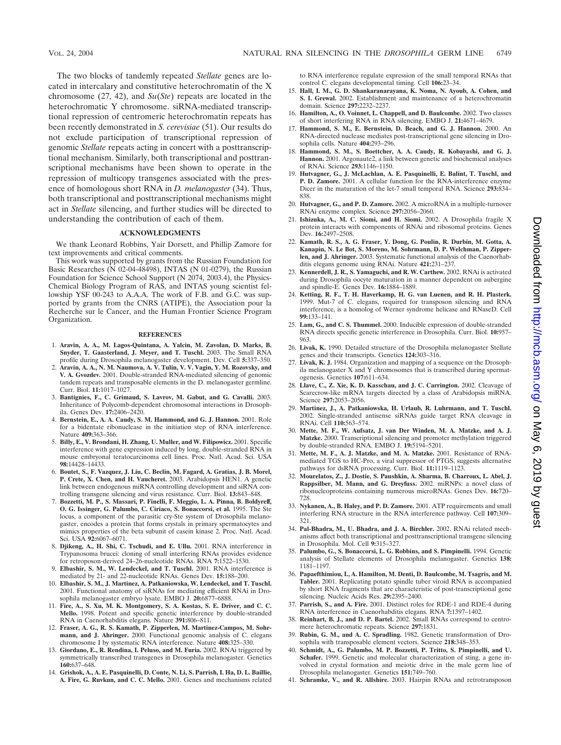The two blocks of tandemly repeated *Stellate* genes are located in intercalary and constitutive heterochromatin of the X chromosome (27, 42), and *Su*(*Ste*) repeats are located in the heterochromatic Y chromosome. siRNA-mediated transcriptional repression of centromeric heterochromatin repeats has been recently demonstrated in *S. cerevisiae* (51). Our results do not exclude participation of transcriptional repression of genomic *Stellate* repeats acting in concert with a posttranscriptional mechanism. Similarly, both transcriptional and posttranscriptional mechanisms have been shown to operate in the repression of multicopy transgenes associated with the presence of homologous short RNA in *D. melanogaster* (34). Thus, both transcriptional and posttranscriptional mechanisms might act in *Stellate* silencing, and further studies will be directed to understanding the contribution of each of them.

#### **ACKNOWLEDGMENTS**

We thank Leonard Robbins, Yair Dorsett, and Phillip Zamore for text improvements and critical comments.

This work was supported by grants from the Russian Foundation for Basic Researches (N 02-04-48498), INTAS (N 01-0279), the Russian Foundation for Science School Support (N 2074, 2003.4), the Physics-Chemical Biology Program of RAS, and INTAS young scientist fellowship YSF 00-243 to A.A.A. The work of F.B. and G.C. was supported by grants from the CNRS (ATIPE), the Association pour la Recherche sur le Cancer, and the Human Frontier Science Program Organization.

#### **REFERENCES**

- 1. **Aravin, A. A., M. Lagos-Quintana, A. Yalcin, M. Zavolan, D. Marks, B. Snyder, T. Gaasterland, J. Meyer, and T. Tuschl.** 2003. The Small RNA profile during Drosophila melanogaster development. Dev. Cell **5:**337–350.
- 2. **Aravin, A. A., N. M. Naumova, A. V. Tulin, V. V. Vagin, Y. M. Rozovsky, and V. A. Gvozdev.** 2001. Double-stranded RNA-mediated silencing of genomic tandem repeats and transposable elements in the D. melanogaster germline. Curr. Biol. **11:**1017–1027.
- 3. **Bantignies, F., C. Grimaud, S. Lavrov, M. Gabut, and G. Cavalli.** 2003. Inheritance of Polycomb-dependent chromosomal interactions in Drosophila. Genes Dev. **17:**2406–2420.
- 4. **Bernstein, E., A. A. Caudy, S. M. Hammond, and G. J. Hannon.** 2001. Role for a bidentate ribonuclease in the initiation step of RNA interference. Nature **409:**363–366.
- 5. **Billy, E., V. Brondani, H. Zhang, U. Muller, and W. Filipowicz.** 2001. Specific interference with gene expression induced by long, double-stranded RNA in mouse embryonal teratocarcinoma cell lines. Proc. Natl. Acad. Sci. USA **98:**14428–14433.
- 6. **Boutet, S., F. Vazquez, J. Liu, C. Beclin, M. Fagard, A. Gratias, J. B. Morel, P. Crete, X. Chen, and H. Vaucheret.** 2003. Arabidopsis HEN1. A genetic link between endogenous miRNA controlling development and siRNA controlling transgene silencing and virus resistance. Curr. Biol. **13:**843–848.
- 7. **Bozzetti, M. P., S. Massari, P. Finelli, F. Meggio, L. A. Pinna, B. Boldyreff, O. G. Issinger, G. Palumbo, C. Ciriaco, S. Bonaccorsi, et al.** 1995. The Ste locus, a component of the parasitic cry-Ste system of Drosophila melanogaster, encodes a protein that forms crystals in primary spermatocytes and mimics properties of the beta subunit of casein kinase 2. Proc. Natl. Acad. Sci. USA **92:**6067–6071.
- 8. **Djikeng, A., H. Shi, C. Tschudi, and E. Ullu.** 2001. RNA interference in Trypanosoma brucei: cloning of small interfering RNAs provides evidence for retroposon-derived 24–26-nucleotide RNAs. RNA **7:**1522–1530.
- 9. **Elbashir, S. M., W. Lendeckel, and T. Tuschl.** 2001. RNA interference is mediated by 21- and 22-nucleotide RNAs. Genes Dev. **15:**188–200.
- 10. **Elbashir, S. M., J. Martinez, A. Patkaniowska, W. Lendeckel, and T. Tuschl.** 2001. Functional anatomy of siRNAs for mediating efficient RNAi in Drosophila melanogaster embryo lysate. EMBO J. **20:**6877–6888.
- 11. **Fire, A., S. Xu, M. K. Montgomery, S. A. Kostas, S. E. Driver, and C. C. Mello.** 1998. Potent and specific genetic interference by double-stranded RNA in Caenorhabditis elegans. Nature **391:**806–811.
- 12. **Fraser, A. G., R. S. Kamath, P. Zipperlen, M. Martinez-Campos, M. Sohrmann, and J. Ahringer.** 2000. Functional genomic analysis of C. elegans chromosome I by systematic RNA interference. Nature **408:**325–330.
- 13. **Giordano, E., R. Rendina, I. Peluso, and M. Furia.** 2002. RNAi triggered by symmetrically transcribed transgenes in Drosophila melanogaster. Genetics **160:**637–648.
- 14. **Grishok, A., A. E. Pasquinelli, D. Conte, N. Li, S. Parrish, I. Ha, D. L. Baillie, A. Fire, G. Ruvkun, and C. C. Mello.** 2001. Genes and mechanisms related

to RNA interference regulate expression of the small temporal RNAs that control C. elegans developmental timing. Cell **106:**23–34.

- 15. **Hall, I. M., G. D. Shankaranarayana, K. Noma, N. Ayoub, A. Cohen, and S. I. Grewal.** 2002. Establishment and maintenance of a heterochromatin domain. Science **297:**2232–2237.
- 16. **Hamilton, A., O. Voinnet, L. Chappell, and D. Baulcombe.** 2002. Two classes of short interfering RNA in RNA silencing. EMBO J. **21:**4671–4679.
- 17. **Hammond, S. M., E. Bernstein, D. Beach, and G. J. Hannon.** 2000. An RNA-directed nuclease mediates post-transcriptional gene silencing in Drosophila cells. Nature **404:**293–296.
- 18. **Hammond, S. M., S. Boettcher, A. A. Caudy, R. Kobayashi, and G. J. Hannon.** 2001. Argonaute2, a link between genetic and biochemical analyses of RNAi. Science **293:**1146–1150.
- 19. **Hutvagner, G., J. McLachlan, A. E. Pasquinelli, E. Balint, T. Tuschl, and P. D. Zamore.** 2001. A cellular function for the RNA-interference enzyme Dicer in the maturation of the let-7 small temporal RNA. Science **293:**834– 838.
- 20. **Hutvagner, G., and P. D. Zamore.** 2002. A microRNA in a multiple-turnover RNAi enzyme complex. Science **297:**2056–2060.
- 21. **Ishizuka, A., M. C. Siomi, and H. Siomi.** 2002. A Drosophila fragile X protein interacts with components of RNAi and ribosomal proteins. Genes Dev. **16:**2497–2508.
- 22. **Kamath, R. S., A. G. Fraser, Y. Dong, G. Poulin, R. Durbin, M. Gotta, A. Kanapin, N. Le Bot, S. Moreno, M. Sohrmann, D. P. Welchman, P. Zipperlen, and J. Ahringer.** 2003. Systematic functional analysis of the Caenorhabditis elegans genome using RNAi. Nature **421:**231–237.
- 23. **Kennerdell, J. R., S. Yamaguchi, and R. W. Carthew.** 2002. RNAi is activated during Drosophila oocyte maturation in a manner dependent on aubergine and spindle-E. Genes Dev. **16:**1884–1889.
- 24. **Ketting, R. F., T. H. Haverkamp, H. G. van Luenen, and R. H. Plasterk.** 1999. Mut-7 of C. elegans, required for transposon silencing and RNA interference, is a homolog of Werner syndrome helicase and RNaseD. Cell **99:**133–141.
- 25. **Lam, G., and C. S. Thummel.** 2000. Inducible expression of double-stranded RNA directs specific genetic interference in Drosophila. Curr. Biol. **10:**957– 963.
- 26. **Livak, K.** 1990. Detailed structure of the Drosophila melanogaster Stellate genes and their transcripts. Genetics **124:**303–316.
- 27. **Livak, K. J.** 1984. Organization and mapping of a sequence on the Drosophila melanogaster X and Y chromosomes that is transcribed during spermatogenesis. Genetics **107:**611–634.
- 28. **Llave, C., Z. Xie, K. D. Kasschau, and J. C. Carrington.** 2002. Cleavage of Scarecrow-like mRNA targets directed by a class of Arabidopsis miRNA. Science **297:**2053–2056.
- 29. **Martinez, J., A. Patkaniowska, H. Urlaub, R. Luhrmann, and T. Tuschl.** 2002. Single-stranded antisense siRNAs guide target RNA cleavage in RNAi. Cell **110:**563–574.
- 30. **Mette, M. F., W. Aufsatz, J. van Der Winden, M. A. Matzke, and A. J. Matzke.** 2000. Transcriptional silencing and promoter methylation triggered by double-stranded RNA. EMBO J. **19:**5194–5201.
- 31. **Mette, M. F., A. J. Matzke, and M. A. Matzke.** 2001. Resistance of RNAmediated TGS to HC-Pro, a viral suppressor of PTGS, suggests alternative pathways for dsRNA processing. Curr. Biol. **11:**1119–1123.
- 32. **Mourelatos, Z., J. Dostie, S. Paushkin, A. Sharma, B. Charroux, L. Abel, J. Rappsilber, M. Mann, and G. Dreyfuss.** 2002. miRNPs: a novel class of ribonucleoproteins containing numerous microRNAs. Genes Dev. **16:**720– 728.
- 33. **Nykanen, A., B. Haley, and P. D. Zamore.** 2001. ATP requirements and small interfering RNA structure in the RNA interference pathway. Cell **107:**309– 321.
- 34. **Pal-Bhadra, M., U. Bhadra, and J. A. Birchler.** 2002. RNAi related mechanisms affect both transcriptional and posttranscriptional transgene silencing in Drosophila. Mol. Cell **9:**315–327.
- 35. **Palumbo, G., S. Bonaccorsi, L. G. Robbins, and S. Pimpinelli.** 1994. Genetic analysis of Stellate elements of Drosophila melanogaster. Genetics **138:** 1181–1197.
- 36. **Papaefthimiou, I., A. Hamilton, M. Denti, D. Baulcombe, M. Tsagris, and M. Tabler.** 2001. Replicating potato spindle tuber viroid RNA is accompanied by short RNA fragments that are characteristic of post-transcriptional gene silencing. Nucleic Acids Res. **29:**2395–2400.
- 37. **Parrish, S., and A. Fire.** 2001. Distinct roles for RDE-1 and RDE-4 during RNA interference in Caenorhabditis elegans. RNA **7:**1397–1402.
- 38. **Reinhart, B. J., and D. P. Bartel.** 2002. Small RNAs correspond to centromere heterochromatic repeats. Science **297:**1831.
- 39. **Rubin, G. M., and A. C. Spradling.** 1982. Genetic transformation of Drosophila with transposable element vectors. Science **218:**348–353.
- 40. **Schmidt, A., G. Palumbo, M. P. Bozzetti, P. Tritto, S. Pimpinelli, and U. Schafer.** 1999. Genetic and molecular characterization of sting, a gene involved in crystal formation and meiotic drive in the male germ line of Drosophila melanogaster. Genetics **151:**749–760.
- 41. **Schramke, V., and R. Allshire.** 2003. Hairpin RNAs and retrotransposon